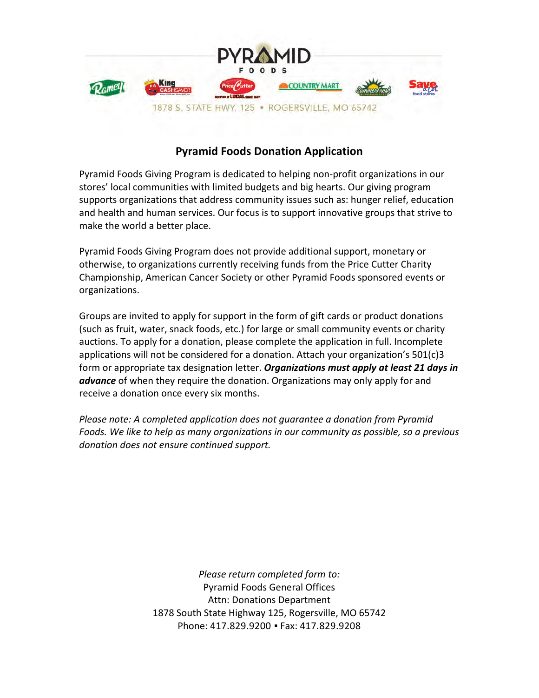

## **Pyramid!Foods!Donation!Application**

Pyramid Foods Giving Program is dedicated to helping non-profit organizations in our stores' local communities with limited budgets and big hearts. Our giving program supports organizations that address community issues such as: hunger relief, education and health and human services. Our focus is to support innovative groups that strive to make the world a better place.

Pyramid Foods Giving Program does not provide additional support, monetary or otherwise, to organizations currently receiving funds from the Price Cutter Charity Championship, American Cancer Society or other Pyramid Foods sponsored events or organizations.!

Groups are invited to apply for support in the form of gift cards or product donations (such as fruit, water, snack foods, etc.) for large or small community events or charity auctions. To apply for a donation, please complete the application in full. Incomplete applications will not be considered for a donation. Attach your organization's  $501(c)3$ form or appropriate tax designation letter. *Organizations must apply at least 21 days in advance* of when they require the donation. Organizations may only apply for and receive a donation once every six months.

*Please note: A completed application does not quarantee a donation from Pyramid* Foods. We like to help as many organizations in our community as possible, so a previous donation does not ensure continued support.

> *Please return completed form to:* Pyramid Foods General Offices Attn: Donations Department 1878 South State Highway 125, Rogersville, MO 65742 Phone: 417.829.9200 · Fax: 417.829.9208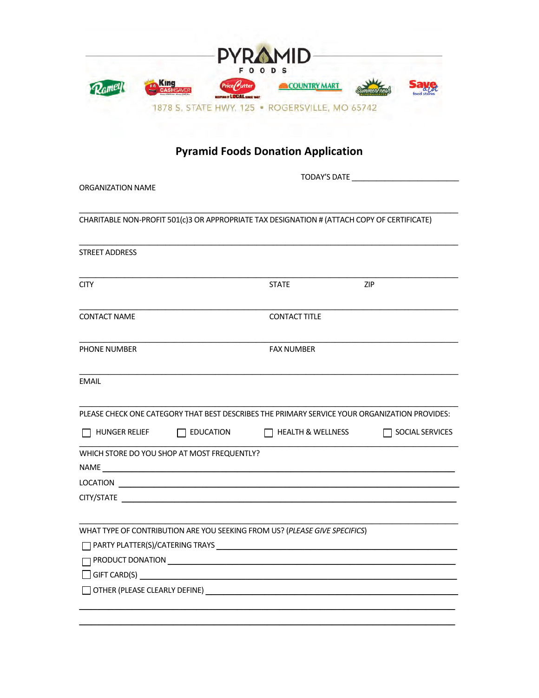| <b>PYRAMID</b><br><b>FOODS</b> |             |                                              |                                                |  |  |  |  |  |
|--------------------------------|-------------|----------------------------------------------|------------------------------------------------|--|--|--|--|--|
|                                | <b>King</b> | Price Vutter<br>EXEPTING IT LOCAL SINCE 1987 | <b>COUNTRY MART</b>                            |  |  |  |  |  |
|                                |             |                                              | 1878 S. STATE HWY, 125 . ROGERSVILLE, MO 65742 |  |  |  |  |  |

## **Pyramid Foods Donation Application**

| <b>ORGANIZATION NAME</b> |                                             |                                                                                             |                                                                                               |  |  |
|--------------------------|---------------------------------------------|---------------------------------------------------------------------------------------------|-----------------------------------------------------------------------------------------------|--|--|
|                          |                                             | CHARITABLE NON-PROFIT 501(c)3 OR APPROPRIATE TAX DESIGNATION # (ATTACH COPY OF CERTIFICATE) |                                                                                               |  |  |
| <b>STREET ADDRESS</b>    |                                             |                                                                                             |                                                                                               |  |  |
| <b>CITY</b>              |                                             | <b>STATE</b>                                                                                | <b>ZIP</b>                                                                                    |  |  |
| <b>CONTACT NAME</b>      |                                             | <b>CONTACT TITLE</b>                                                                        |                                                                                               |  |  |
| PHONE NUMBER             |                                             | <b>FAX NUMBER</b>                                                                           |                                                                                               |  |  |
| <b>EMAIL</b>             |                                             |                                                                                             |                                                                                               |  |  |
|                          |                                             |                                                                                             | PLEASE CHECK ONE CATEGORY THAT BEST DESCRIBES THE PRIMARY SERVICE YOUR ORGANIZATION PROVIDES: |  |  |
| $\Box$ HUNGER RELIEF     | $\Box$ education                            | $\Box$ HEALTH & WELLNESS                                                                    | $\Box$ SOCIAL SERVICES                                                                        |  |  |
|                          | WHICH STORE DO YOU SHOP AT MOST FREQUENTLY? |                                                                                             |                                                                                               |  |  |
|                          |                                             |                                                                                             |                                                                                               |  |  |
|                          |                                             |                                                                                             |                                                                                               |  |  |
|                          |                                             | WHAT TYPE OF CONTRIBUTION ARE YOU SEEKING FROM US? (PLEASE GIVE SPECIFICS)                  |                                                                                               |  |  |
|                          |                                             | $\Box$ PRODUCT DONATION $\_\_\_\_\_\_\_\_\_\_\_\_$                                          |                                                                                               |  |  |
|                          |                                             | $\Box$ GIFT CARD(S) $\qquad \qquad$                                                         |                                                                                               |  |  |
|                          |                                             |                                                                                             |                                                                                               |  |  |
|                          |                                             |                                                                                             |                                                                                               |  |  |
|                          |                                             |                                                                                             |                                                                                               |  |  |